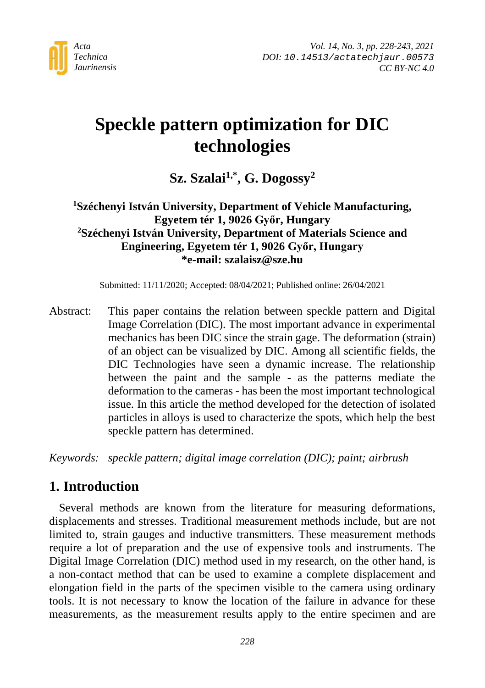

# **Speckle pattern optimization for DIC technologies**

Sz. Szalai<sup>1,\*</sup>, G. Dogossy<sup>2</sup>

### **1 Széchenyi István University, Department of Vehicle Manufacturing, Egyetem tér 1, 9026 Győr, Hungary 2 Széchenyi István University, Department of Materials Science and Engineering, Egyetem tér 1, 9026 Győr, Hungary \*e-mail: szalaisz@sze.hu**

Submitted: 11/11/2020; Accepted: 08/04/2021; Published online: 26/04/2021

Abstract: This paper contains the relation between speckle pattern and Digital Image Correlation (DIC). The most important advance in experimental mechanics has been DIC since the strain gage. The deformation (strain) of an object can be visualized by DIC. Among all scientific fields, the DIC Technologies have seen a dynamic increase. The relationship between the paint and the sample - as the patterns mediate the deformation to the cameras - has been the most important technological issue. In this article the method developed for the detection of isolated particles in alloys is used to characterize the spots, which help the best speckle pattern has determined.

*Keywords: speckle pattern; digital image correlation (DIC); paint; airbrush*

# **1. Introduction**

Several methods are known from the literature for measuring deformations, displacements and stresses. Traditional measurement methods include, but are not limited to, strain gauges and inductive transmitters. These measurement methods require a lot of preparation and the use of expensive tools and instruments. The Digital Image Correlation (DIC) method used in my research, on the other hand, is a non-contact method that can be used to examine a complete displacement and elongation field in the parts of the specimen visible to the camera using ordinary tools. It is not necessary to know the location of the failure in advance for these measurements, as the measurement results apply to the entire specimen and are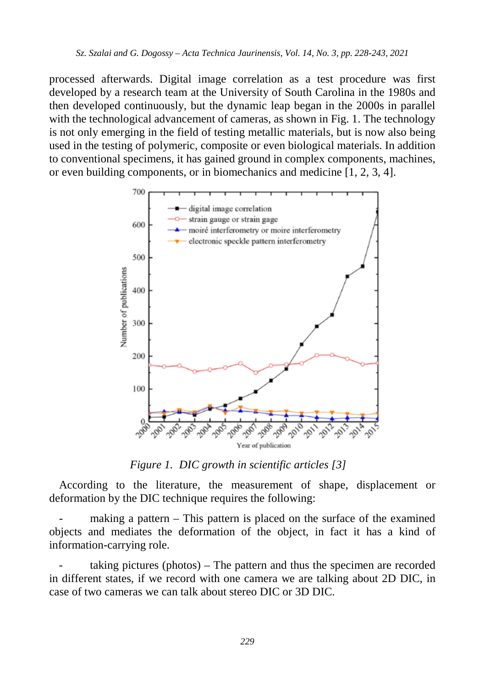processed afterwards. Digital image correlation as a test procedure was first developed by a research team at the University of South Carolina in the 1980s and then developed continuously, but the dynamic leap began in the 2000s in parallel with the technological advancement of cameras, as shown in Fig. 1. The technology is not only emerging in the field of testing metallic materials, but is now also being used in the testing of polymeric, composite or even biological materials. In addition to conventional specimens, it has gained ground in complex components, machines, or even building components, or in biomechanics and medicine [1, 2, 3, 4].



*Figure 1. DIC growth in scientific articles [3]*

According to the literature, the measurement of shape, displacement or deformation by the DIC technique requires the following:

making a pattern  $-$  This pattern is placed on the surface of the examined objects and mediates the deformation of the object, in fact it has a kind of information-carrying role.

taking pictures (photos)  $-$  The pattern and thus the specimen are recorded in different states, if we record with one camera we are talking about 2D DIC, in case of two cameras we can talk about stereo DIC or 3D DIC.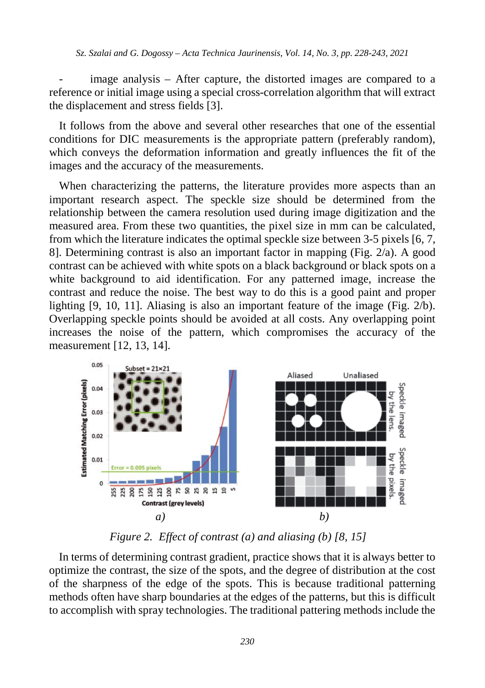image analysis – After capture, the distorted images are compared to a reference or initial image using a special cross-correlation algorithm that will extract the displacement and stress fields [3].

It follows from the above and several other researches that one of the essential conditions for DIC measurements is the appropriate pattern (preferably random), which conveys the deformation information and greatly influences the fit of the images and the accuracy of the measurements.

When characterizing the patterns, the literature provides more aspects than an important research aspect. The speckle size should be determined from the relationship between the camera resolution used during image digitization and the measured area. From these two quantities, the pixel size in mm can be calculated, from which the literature indicates the optimal speckle size between 3-5 pixels [6, 7, 8]. Determining contrast is also an important factor in mapping (Fig. 2/a). A good contrast can be achieved with white spots on a black background or black spots on a white background to aid identification. For any patterned image, increase the contrast and reduce the noise. The best way to do this is a good paint and proper lighting [9, 10, 11]. Aliasing is also an important feature of the image (Fig. 2/b). Overlapping speckle points should be avoided at all costs. Any overlapping point increases the noise of the pattern, which compromises the accuracy of the measurement [12, 13, 14].



*Figure 2. Effect of contrast (a) and aliasing (b) [8, 15]*

In terms of determining contrast gradient, practice shows that it is always better to optimize the contrast, the size of the spots, and the degree of distribution at the cost of the sharpness of the edge of the spots. This is because traditional patterning methods often have sharp boundaries at the edges of the patterns, but this is difficult to accomplish with spray technologies. The traditional pattering methods include the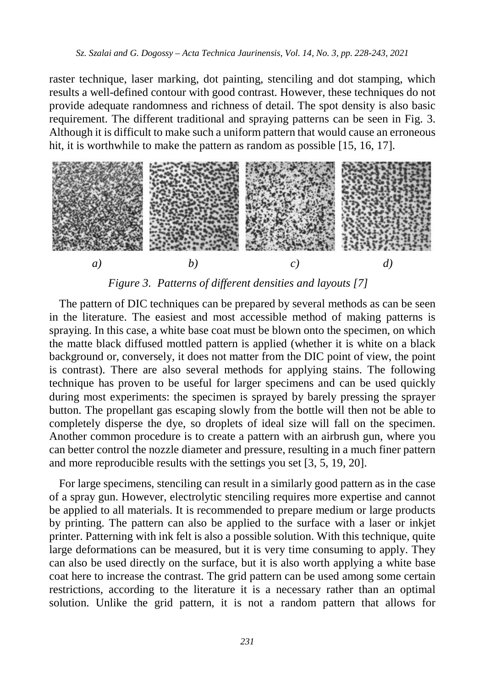raster technique, laser marking, dot painting, stenciling and dot stamping, which results a well-defined contour with good contrast. However, these techniques do not provide adequate randomness and richness of detail. The spot density is also basic requirement. The different traditional and spraying patterns can be seen in Fig. 3. Although it is difficult to make such a uniform pattern that would cause an erroneous hit, it is worthwhile to make the pattern as random as possible [15, 16, 17].



*Figure 3. Patterns of different densities and layouts [7]*

The pattern of DIC techniques can be prepared by several methods as can be seen in the literature. The easiest and most accessible method of making patterns is spraying. In this case, a white base coat must be blown onto the specimen, on which the matte black diffused mottled pattern is applied (whether it is white on a black background or, conversely, it does not matter from the DIC point of view, the point is contrast). There are also several methods for applying stains. The following technique has proven to be useful for larger specimens and can be used quickly during most experiments: the specimen is sprayed by barely pressing the sprayer button. The propellant gas escaping slowly from the bottle will then not be able to completely disperse the dye, so droplets of ideal size will fall on the specimen. Another common procedure is to create a pattern with an airbrush gun, where you can better control the nozzle diameter and pressure, resulting in a much finer pattern and more reproducible results with the settings you set [3, 5, 19, 20].

For large specimens, stenciling can result in a similarly good pattern as in the case of a spray gun. However, electrolytic stenciling requires more expertise and cannot be applied to all materials. It is recommended to prepare medium or large products by printing. The pattern can also be applied to the surface with a laser or inkjet printer. Patterning with ink felt is also a possible solution. With this technique, quite large deformations can be measured, but it is very time consuming to apply. They can also be used directly on the surface, but it is also worth applying a white base coat here to increase the contrast. The grid pattern can be used among some certain restrictions, according to the literature it is a necessary rather than an optimal solution. Unlike the grid pattern, it is not a random pattern that allows for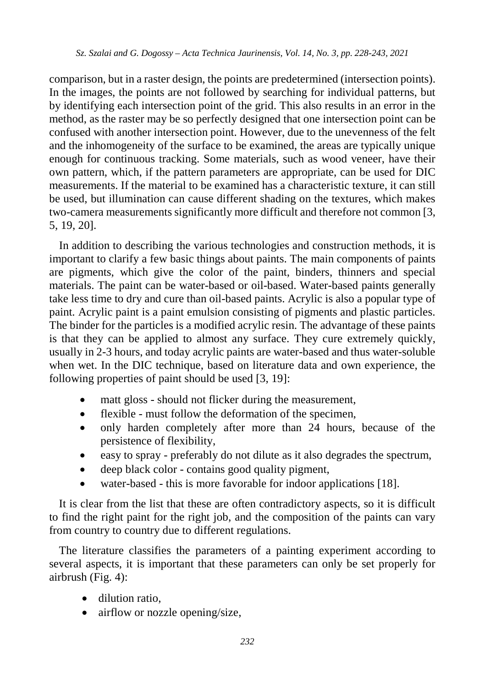comparison, but in a raster design, the points are predetermined (intersection points). In the images, the points are not followed by searching for individual patterns, but by identifying each intersection point of the grid. This also results in an error in the method, as the raster may be so perfectly designed that one intersection point can be confused with another intersection point. However, due to the unevenness of the felt and the inhomogeneity of the surface to be examined, the areas are typically unique enough for continuous tracking. Some materials, such as wood veneer, have their own pattern, which, if the pattern parameters are appropriate, can be used for DIC measurements. If the material to be examined has a characteristic texture, it can still be used, but illumination can cause different shading on the textures, which makes two-camera measurements significantly more difficult and therefore not common [3, 5, 19, 20].

In addition to describing the various technologies and construction methods, it is important to clarify a few basic things about paints. The main components of paints are pigments, which give the color of the paint, binders, thinners and special materials. The paint can be water-based or oil-based. Water-based paints generally take less time to dry and cure than oil-based paints. Acrylic is also a popular type of paint. Acrylic paint is a paint emulsion consisting of pigments and plastic particles. The binder for the particles is a modified acrylic resin. The advantage of these paints is that they can be applied to almost any surface. They cure extremely quickly, usually in 2-3 hours, and today acrylic paints are water-based and thus water-soluble when wet. In the DIC technique, based on literature data and own experience, the following properties of paint should be used [3, 19]:

- matt gloss should not flicker during the measurement,
- flexible must follow the deformation of the specimen,
- only harden completely after more than 24 hours, because of the persistence of flexibility,
- easy to spray preferably do not dilute as it also degrades the spectrum,
- deep black color contains good quality pigment,
- water-based this is more favorable for indoor applications [18].

It is clear from the list that these are often contradictory aspects, so it is difficult to find the right paint for the right job, and the composition of the paints can vary from country to country due to different regulations.

The literature classifies the parameters of a painting experiment according to several aspects, it is important that these parameters can only be set properly for airbrush (Fig. 4):

- dilution ratio,
- airflow or nozzle opening/size,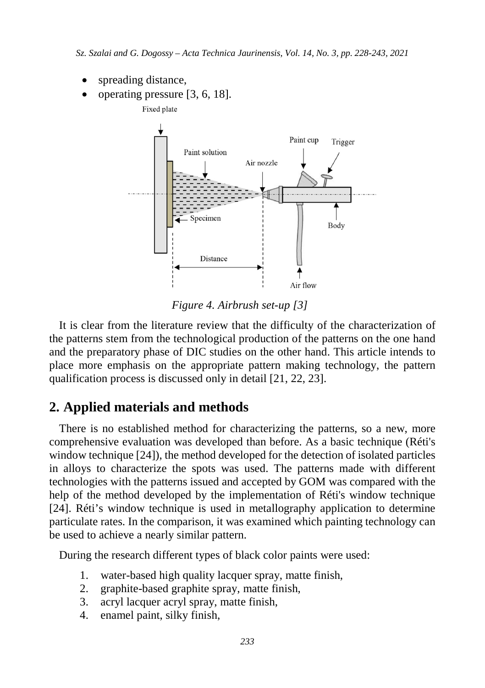- spreading distance,
- operating pressure [3, 6, 18].



*Figure 4. Airbrush set-up [3]*

It is clear from the literature review that the difficulty of the characterization of the patterns stem from the technological production of the patterns on the one hand and the preparatory phase of DIC studies on the other hand. This article intends to place more emphasis on the appropriate pattern making technology, the pattern qualification process is discussed only in detail [21, 22, 23].

## **2. Applied materials and methods**

There is no established method for characterizing the patterns, so a new, more comprehensive evaluation was developed than before. As a basic technique (Réti's window technique [24]), the method developed for the detection of isolated particles in alloys to characterize the spots was used. The patterns made with different technologies with the patterns issued and accepted by GOM was compared with the help of the method developed by the implementation of Réti's window technique [24]. Réti's window technique is used in metallography application to determine particulate rates. In the comparison, it was examined which painting technology can be used to achieve a nearly similar pattern.

During the research different types of black color paints were used:

- 1. water-based high quality lacquer spray, matte finish,
- 2. graphite-based graphite spray, matte finish,
- 3. acryl lacquer acryl spray, matte finish,
- 4. enamel paint, silky finish,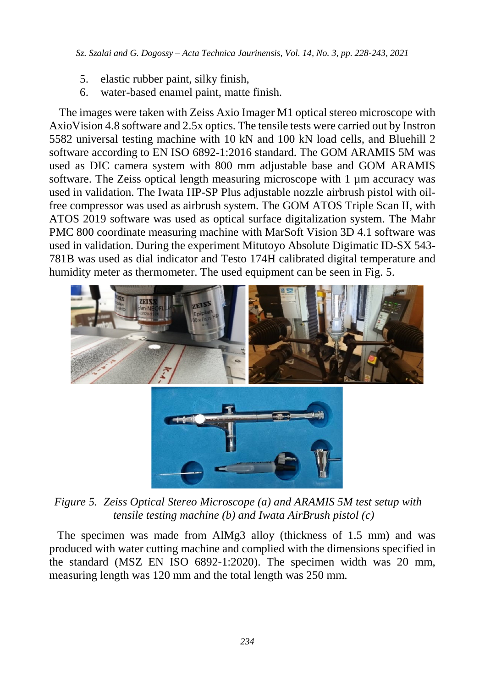- 5. elastic rubber paint, silky finish,
- 6. water-based enamel paint, matte finish.

The images were taken with Zeiss Axio Imager M1 optical stereo microscope with AxioVision 4.8 software and 2.5x optics. The tensile tests were carried out by Instron 5582 universal testing machine with 10 kN and 100 kN load cells, and Bluehill 2 software according to EN ISO 6892-1:2016 standard. The GOM ARAMIS 5M was used as DIC camera system with 800 mm adjustable base and GOM ARAMIS software. The Zeiss optical length measuring microscope with 1  $\mu$ m accuracy was used in validation. The Iwata HP-SP Plus adjustable nozzle airbrush pistol with oilfree compressor was used as airbrush system. The GOM ATOS Triple Scan II, with ATOS 2019 software was used as optical surface digitalization system. The Mahr PMC 800 coordinate measuring machine with MarSoft Vision 3D 4.1 software was used in validation. During the experiment Mitutoyo Absolute Digimatic ID-SX 543- 781B was used as dial indicator and Testo 174H calibrated digital temperature and humidity meter as thermometer. The used equipment can be seen in Fig. 5.



*Figure 5. Zeiss Optical Stereo Microscope (a) and ARAMIS 5M test setup with tensile testing machine (b) and Iwata AirBrush pistol (c)*

The specimen was made from AlMg3 alloy (thickness of 1.5 mm) and was produced with water cutting machine and complied with the dimensions specified in the standard (MSZ EN ISO 6892-1:2020). The specimen width was 20 mm, measuring length was 120 mm and the total length was 250 mm.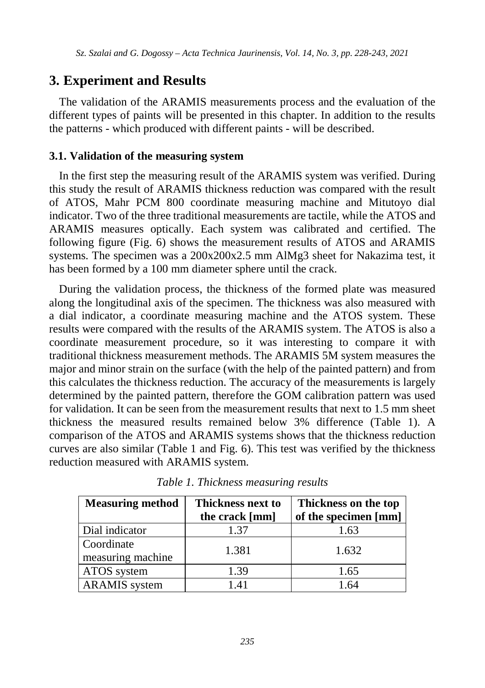### **3. Experiment and Results**

The validation of the ARAMIS measurements process and the evaluation of the different types of paints will be presented in this chapter. In addition to the results the patterns - which produced with different paints - will be described.

#### **3.1. Validation of the measuring system**

In the first step the measuring result of the ARAMIS system was verified. During this study the result of ARAMIS thickness reduction was compared with the result of ATOS, Mahr PCM 800 coordinate measuring machine and Mitutoyo dial indicator. Two of the three traditional measurements are tactile, while the ATOS and ARAMIS measures optically. Each system was calibrated and certified. The following figure (Fig. 6) shows the measurement results of ATOS and ARAMIS systems. The specimen was a 200x200x2.5 mm AlMg3 sheet for Nakazima test, it has been formed by a 100 mm diameter sphere until the crack.

During the validation process, the thickness of the formed plate was measured along the longitudinal axis of the specimen. The thickness was also measured with a dial indicator, a coordinate measuring machine and the ATOS system. These results were compared with the results of the ARAMIS system. The ATOS is also a coordinate measurement procedure, so it was interesting to compare it with traditional thickness measurement methods. The ARAMIS 5M system measures the major and minor strain on the surface (with the help of the painted pattern) and from this calculates the thickness reduction. The accuracy of the measurements is largely determined by the painted pattern, therefore the GOM calibration pattern was used for validation. It can be seen from the measurement results that next to 1.5 mm sheet thickness the measured results remained below 3% difference (Table 1). A comparison of the ATOS and ARAMIS systems shows that the thickness reduction curves are also similar (Table 1 and Fig. 6). This test was verified by the thickness reduction measured with ARAMIS system.

| <b>Measuring method</b> | Thickness next to | Thickness on the top |  |  |
|-------------------------|-------------------|----------------------|--|--|
|                         | the crack [mm]    | of the specimen [mm] |  |  |
| Dial indicator          | 1.37              | 1.63                 |  |  |
| Coordinate              | 1.381             | 1.632                |  |  |
| measuring machine       |                   |                      |  |  |
| ATOS system             | 1.39              | 1.65                 |  |  |
| <b>ARAMIS</b> system    | 141               | 1.64                 |  |  |

*Table 1. Thickness measuring results*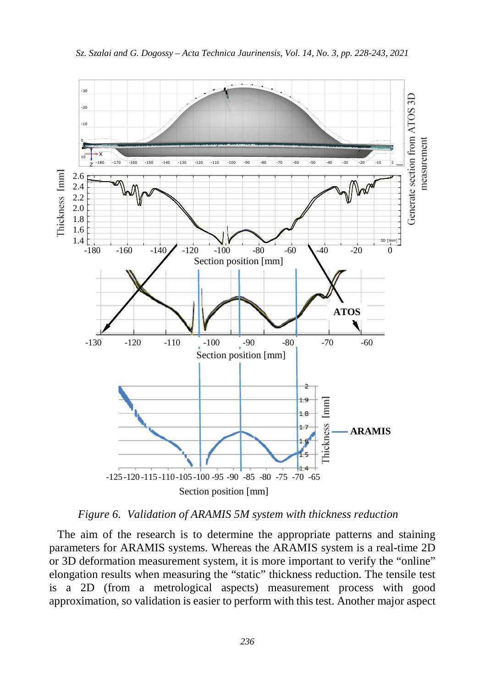

*Figure 6. Validation of ARAMIS 5M system with thickness reduction*

The aim of the research is to determine the appropriate patterns and staining parameters for ARAMIS systems. Whereas the ARAMIS system is a real-time 2D or 3D deformation measurement system, it is more important to verify the "online" elongation results when measuring the "static" thickness reduction. The tensile test is a 2D (from a metrological aspects) measurement process with good approximation, so validation is easier to perform with this test. Another major aspect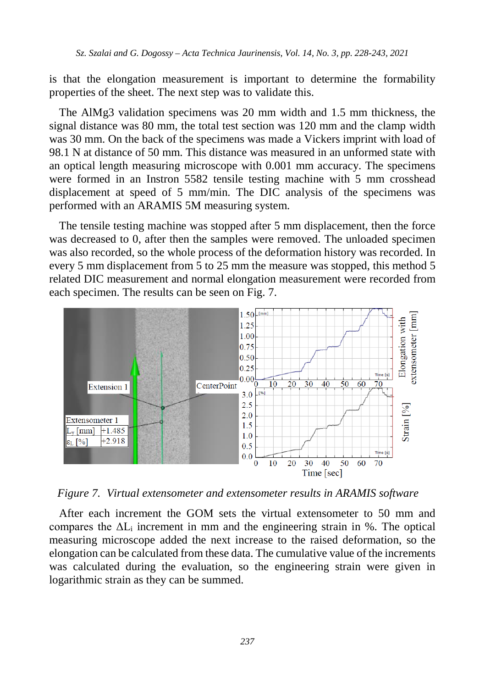is that the elongation measurement is important to determine the formability properties of the sheet. The next step was to validate this.

The AlMg3 validation specimens was 20 mm width and 1.5 mm thickness, the signal distance was 80 mm, the total test section was 120 mm and the clamp width was 30 mm. On the back of the specimens was made a Vickers imprint with load of 98.1 N at distance of 50 mm. This distance was measured in an unformed state with an optical length measuring microscope with 0.001 mm accuracy. The specimens were formed in an Instron 5582 tensile testing machine with 5 mm crosshead displacement at speed of 5 mm/min. The DIC analysis of the specimens was performed with an ARAMIS 5M measuring system.

The tensile testing machine was stopped after 5 mm displacement, then the force was decreased to 0, after then the samples were removed. The unloaded specimen was also recorded, so the whole process of the deformation history was recorded. In every 5 mm displacement from 5 to 25 mm the measure was stopped, this method 5 related DIC measurement and normal elongation measurement were recorded from each specimen. The results can be seen on Fig. 7.



*Figure 7. Virtual extensometer and extensometer results in ARAMIS software*

After each increment the GOM sets the virtual extensometer to 50 mm and compares the  $\Delta L_i$  increment in mm and the engineering strain in %. The optical measuring microscope added the next increase to the raised deformation, so the elongation can be calculated from these data. The cumulative value of the increments was calculated during the evaluation, so the engineering strain were given in logarithmic strain as they can be summed.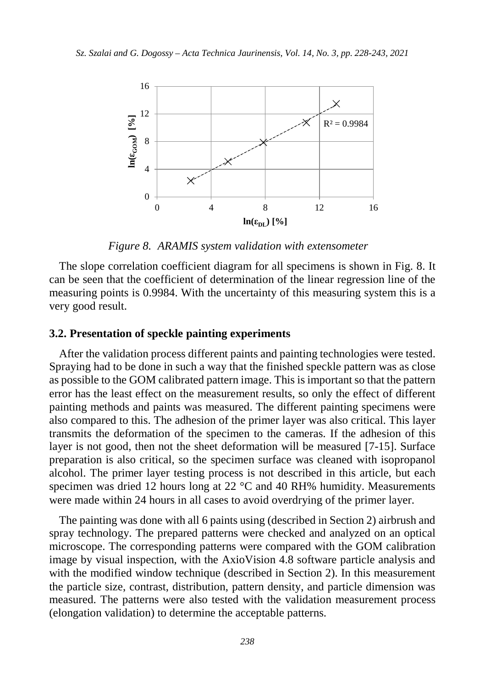

*Figure 8. ARAMIS system validation with extensometer*

The slope correlation coefficient diagram for all specimens is shown in Fig. 8. It can be seen that the coefficient of determination of the linear regression line of the measuring points is 0.9984. With the uncertainty of this measuring system this is a very good result.

#### **3.2. Presentation of speckle painting experiments**

After the validation process different paints and painting technologies were tested. Spraying had to be done in such a way that the finished speckle pattern was as close as possible to the GOM calibrated pattern image. This is important so that the pattern error has the least effect on the measurement results, so only the effect of different painting methods and paints was measured. The different painting specimens were also compared to this. The adhesion of the primer layer was also critical. This layer transmits the deformation of the specimen to the cameras. If the adhesion of this layer is not good, then not the sheet deformation will be measured [7-15]. Surface preparation is also critical, so the specimen surface was cleaned with isopropanol alcohol. The primer layer testing process is not described in this article, but each specimen was dried 12 hours long at 22 °C and 40 RH% humidity. Measurements were made within 24 hours in all cases to avoid overdrying of the primer layer.

The painting was done with all 6 paints using (described in Section 2) airbrush and spray technology. The prepared patterns were checked and analyzed on an optical microscope. The corresponding patterns were compared with the GOM calibration image by visual inspection, with the AxioVision 4.8 software particle analysis and with the modified window technique (described in Section 2). In this measurement the particle size, contrast, distribution, pattern density, and particle dimension was measured. The patterns were also tested with the validation measurement process (elongation validation) to determine the acceptable patterns.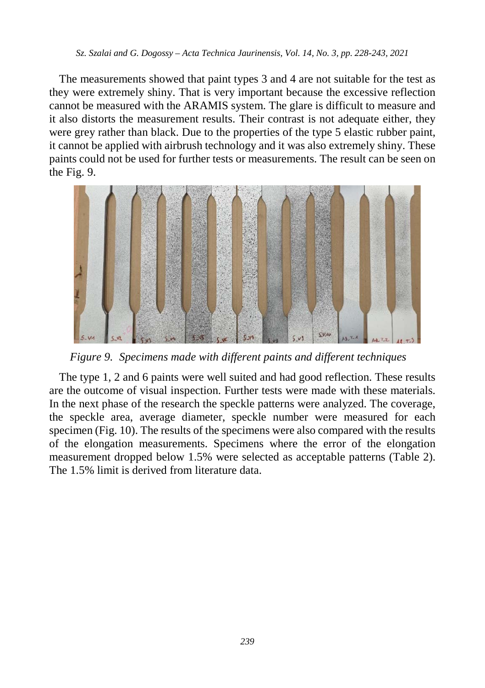The measurements showed that paint types 3 and 4 are not suitable for the test as they were extremely shiny. That is very important because the excessive reflection cannot be measured with the ARAMIS system. The glare is difficult to measure and it also distorts the measurement results. Their contrast is not adequate either, they were grey rather than black. Due to the properties of the type 5 elastic rubber paint, it cannot be applied with airbrush technology and it was also extremely shiny. These paints could not be used for further tests or measurements. The result can be seen on the Fig. 9.



*Figure 9. Specimens made with different paints and different techniques*

The type 1, 2 and 6 paints were well suited and had good reflection. These results are the outcome of visual inspection. Further tests were made with these materials. In the next phase of the research the speckle patterns were analyzed. The coverage, the speckle area, average diameter, speckle number were measured for each specimen (Fig. 10). The results of the specimens were also compared with the results of the elongation measurements. Specimens where the error of the elongation measurement dropped below 1.5% were selected as acceptable patterns (Table 2). The 1.5% limit is derived from literature data.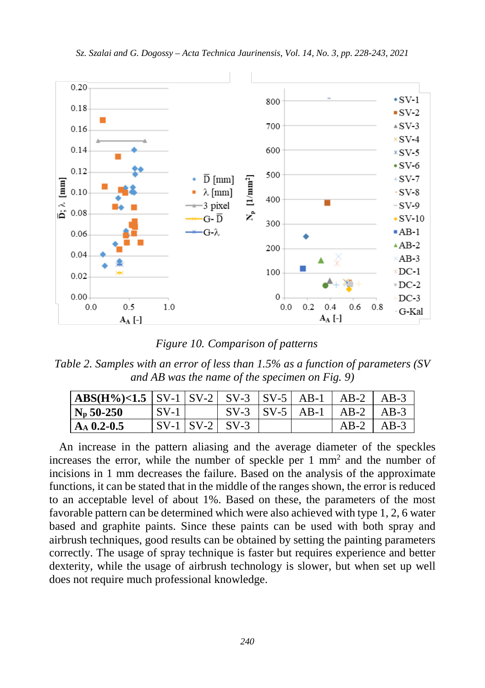

*Figure 10. Comparison of patterns*

*Table 2. Samples with an error of less than 1.5% as a function of parameters (SV and AB was the name of the specimen on Fig. 9)*

| $ ABS(H\%)<1.5 SV-1 SV-2 $ |        |                   | $SV-3$ $SV-5$ $AB-1$ |         |        | $AB-2$ | $AB-3$   |
|----------------------------|--------|-------------------|----------------------|---------|--------|--------|----------|
| $N_p 50-250$               | $SV-1$ |                   | $SV-3$               | $SVI-5$ | $AB-1$ | $AB-2$ | $I$ AB-3 |
| $A_{\rm A}$ 0.2-0.5        | $SV-1$ | $\overline{S}V-2$ | $SV-3$               |         |        | $AB-2$ | $AB-3$   |

An increase in the pattern aliasing and the average diameter of the speckles increases the error, while the number of speckle per 1 mm2 and the number of incisions in 1 mm decreases the failure. Based on the analysis of the approximate functions, it can be stated that in the middle of the ranges shown, the error is reduced to an acceptable level of about 1%. Based on these, the parameters of the most favorable pattern can be determined which were also achieved with type 1, 2, 6 water based and graphite paints. Since these paints can be used with both spray and airbrush techniques, good results can be obtained by setting the painting parameters correctly. The usage of spray technique is faster but requires experience and better dexterity, while the usage of airbrush technology is slower, but when set up well does not require much professional knowledge.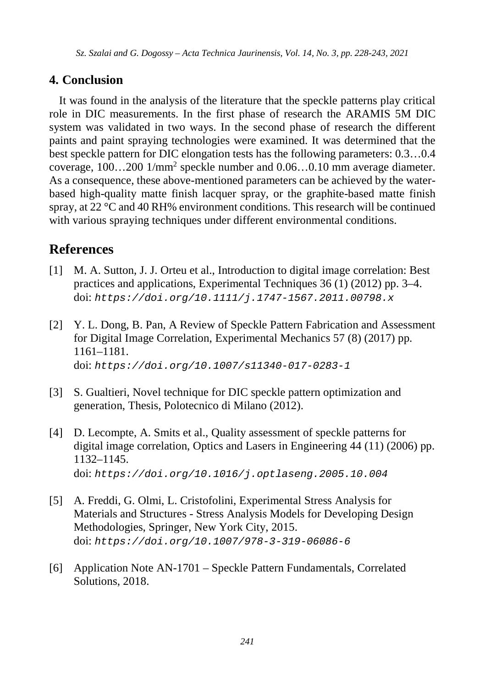### **4. Conclusion**

It was found in the analysis of the literature that the speckle patterns play critical role in DIC measurements. In the first phase of research the ARAMIS 5M DIC system was validated in two ways. In the second phase of research the different paints and paint spraying technologies were examined. It was determined that the best speckle pattern for DIC elongation tests has the following parameters: 0.3…0.4 coverage, 100…200 1/mm2 speckle number and 0.06…0.10 mm average diameter. As a consequence, these above-mentioned parameters can be achieved by the waterbased high-quality matte finish lacquer spray, or the graphite-based matte finish spray, at 22 °C and 40 RH% environment conditions. This research will be continued with various spraying techniques under different environmental conditions.

## **References**

- [1] M. A. Sutton, J. J. Orteu et al., Introduction to digital image correlation: Best practices and applications, Experimental Techniques 36 (1) (2012) pp. 3–4. doi: *<https://doi.org/10.1111/j.1747-1567.2011.00798.x>*
- [2] Y. L. Dong, B. Pan, A Review of Speckle Pattern Fabrication and Assessment for Digital Image Correlation, Experimental Mechanics 57 (8) (2017) pp. 1161–1181. doi: *<https://doi.org/10.1007/s11340-017-0283-1>*
- [3] S. Gualtieri, Novel technique for DIC speckle pattern optimization and generation, Thesis, Polotecnico di Milano (2012).
- [4] D. Lecompte, A. Smits et al., Quality assessment of speckle patterns for digital image correlation, Optics and Lasers in Engineering 44 (11) (2006) pp. 1132–1145. doi: *<https://doi.org/10.1016/j.optlaseng.2005.10.004>*
- [5] A. Freddi, G. Olmi, L. Cristofolini, Experimental Stress Analysis for Materials and Structures - Stress Analysis Models for Developing Design Methodologies, Springer, New York City, 2015. doi: *<https://doi.org/10.1007/978-3-319-06086-6>*
- [6] Application Note AN-1701 Speckle Pattern Fundamentals, Correlated Solutions, 2018.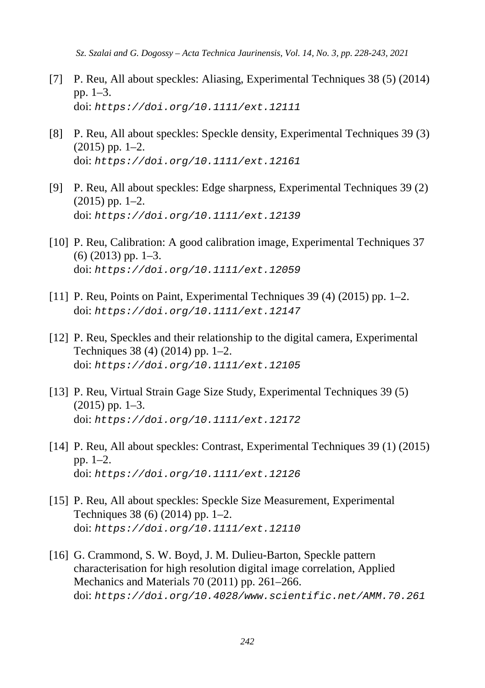- [7] P. Reu, All about speckles: Aliasing, Experimental Techniques 38 (5) (2014) pp. 1–3. doi: *<https://doi.org/10.1111/ext.12111>*
- [8] P. Reu, All about speckles: Speckle density, Experimental Techniques 39 (3) (2015) pp. 1–2. doi: *<https://doi.org/10.1111/ext.12161>*
- [9] P. Reu, All about speckles: Edge sharpness, Experimental Techniques 39 (2) (2015) pp. 1–2. doi: *<https://doi.org/10.1111/ext.12139>*
- [10] P. Reu, Calibration: A good calibration image, Experimental Techniques 37  $(6)$  (2013) pp. 1–3. doi: *<https://doi.org/10.1111/ext.12059>*
- [11] P. Reu, Points on Paint, Experimental Techniques 39 (4) (2015) pp. 1–2. doi: *<https://doi.org/10.1111/ext.12147>*
- [12] P. Reu, Speckles and their relationship to the digital camera, Experimental Techniques 38 (4) (2014) pp. 1–2. doi: *<https://doi.org/10.1111/ext.12105>*
- [13] P. Reu, Virtual Strain Gage Size Study, Experimental Techniques 39 (5) (2015) pp. 1–3. doi: *<https://doi.org/10.1111/ext.12172>*
- [14] P. Reu, All about speckles: Contrast, Experimental Techniques 39 (1) (2015) pp. 1–2. doi: *<https://doi.org/10.1111/ext.12126>*
- [15] P. Reu, All about speckles: Speckle Size Measurement, Experimental Techniques 38 (6) (2014) pp. 1–2. doi: *<https://doi.org/10.1111/ext.12110>*
- [16] G. Crammond, S. W. Boyd, J. M. Dulieu-Barton, Speckle pattern characterisation for high resolution digital image correlation, Applied Mechanics and Materials 70 (2011) pp. 261–266. doi: *<https://doi.org/10.4028/www.scientific.net/AMM.70.261>*